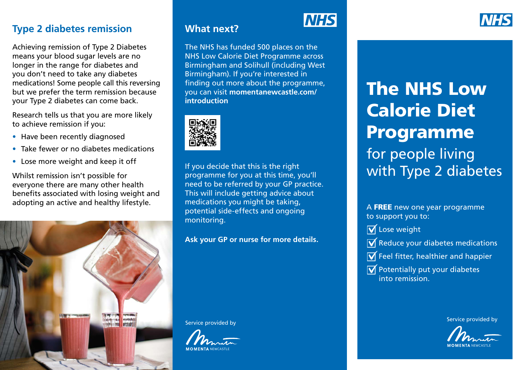#### **Type 2 diabetes remission**

Achieving remission of Type 2 Diabetes means your blood sugar levels are no longer in the range for diabetes and you don't need to take any diabetes medications! Some people call this reversing but we prefer the term remission because your Type 2 diabetes can come back.

Research tells us that you are more likely to achieve remission if you:

- Have been recently diagnosed
- Take fewer or no diabetes medications
- Lose more weight and keep it off

Whilst remission isn't possible for everyone there are many other health benefits associated with losing weight and adopting an active and healthy lifestyle.



### **What next?**

The NHS has funded 500 places on the NHS Low Calorie Diet Programme across Birmingham and Solihull (including West Birmingham). If you're interested in finding out more about the programme, you can visit **momentanewcastle.com/ introduction**



If you decide that this is the right programme for you at this time, you'll need to be referred by your GP practice. This will include getting advice about medications you might be taking, potential side-effects and ongoing monitoring.

**Ask your GP or nurse for more details.**

Service provided by



# **NHS**

The NHS Low Calorie Diet Programme for people living with Type 2 diabetes

A FREE new one year programme to support you to:

 $\overline{\mathsf{M}}$  Lose weight

- $\overline{\mathsf{M}}$  Reduce your diabetes medications
- $\overline{\mathsf{M}}$  Feel fitter, healthier and happier
- $\overline{\mathsf{V}}$  Potentially put your diabetes into remission.

Service provided by